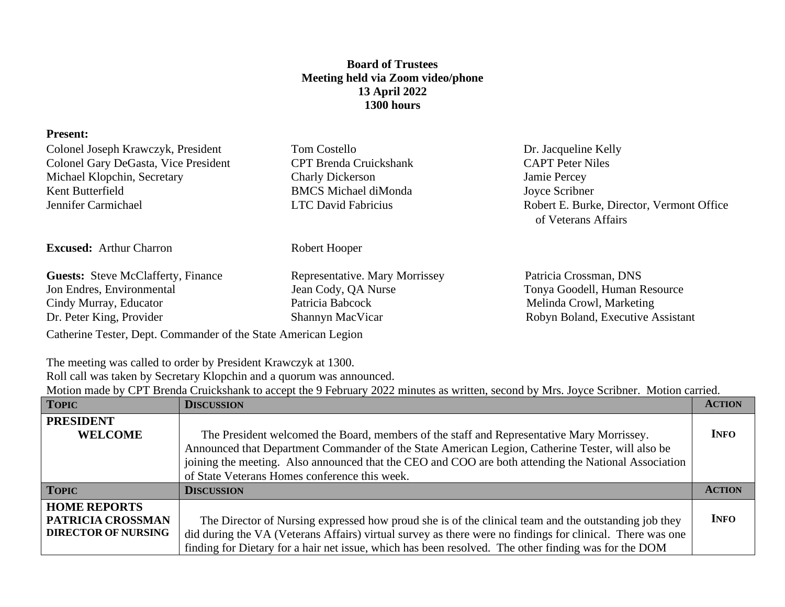## **Board of Trustees Meeting held via Zoom video/phone 13 April 2022 1300 hours**

## **Present:** Colonel Joseph Krawczyk, President Tom Costello Dr. Jacqueline Kelly Colonel Gary DeGasta, Vice President CPT Brenda Cruickshank CAPT Peter Niles Michael Klopchin, Secretary Charly Dickerson Jamie Percey Kent Butterfield BMCS Michael diMonda Joyce Scribner Jennifer Carmichael LTC David Fabricius Robert E. Burke, Director, Vermont Office of Veterans Affairs **Excused:** Arthur Charron Robert Hooper Guests: Steve McClafferty, Finance Representative. Mary Morrissey Patricia Crossman, DNS Jon Endres, Environmental Jean Cody, QA Nurse Tonya Goodell, Human Resource Cindy Murray, Educator **Patricia Babcock** Melinda Crowl, Marketing Dr. Peter King, Provider Shannyn MacVicar Robyn Boland, Executive Assistant

Catherine Tester, Dept. Commander of the State American Legion

The meeting was called to order by President Krawczyk at 1300.

Roll call was taken by Secretary Klopchin and a quorum was announced.

Motion made by CPT Brenda Cruickshank to accept the 9 February 2022 minutes as written, second by Mrs. Joyce Scribner. Motion carried.

| <b>TOPIC</b>               | <b>DISCUSSION</b>                                                                                         | <b>ACTION</b> |
|----------------------------|-----------------------------------------------------------------------------------------------------------|---------------|
| <b>PRESIDENT</b>           |                                                                                                           |               |
| <b>WELCOME</b>             | The President welcomed the Board, members of the staff and Representative Mary Morrissey.                 | <b>INFO</b>   |
|                            | Announced that Department Commander of the State American Legion, Catherine Tester, will also be          |               |
|                            | joining the meeting. Also announced that the CEO and COO are both attending the National Association      |               |
|                            | of State Veterans Homes conference this week.                                                             |               |
| <b>TOPIC</b>               | <b>DISCUSSION</b>                                                                                         | <b>ACTION</b> |
| <b>HOME REPORTS</b>        |                                                                                                           |               |
| <b>PATRICIA CROSSMAN</b>   | The Director of Nursing expressed how proud she is of the clinical team and the outstanding job they      | <b>INFO</b>   |
| <b>DIRECTOR OF NURSING</b> | did during the VA (Veterans Affairs) virtual survey as there were no findings for clinical. There was one |               |
|                            | finding for Dietary for a hair net issue, which has been resolved. The other finding was for the DOM      |               |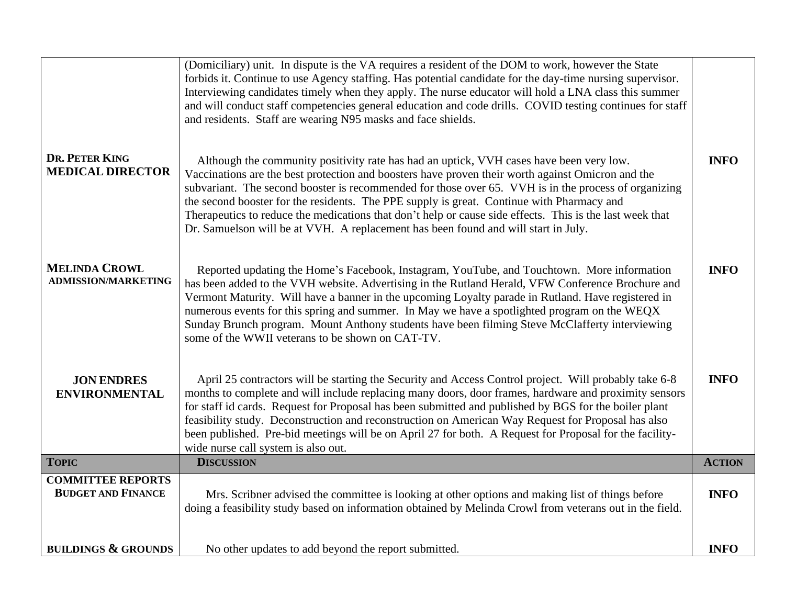| DR. PETER KING<br><b>MEDICAL DIRECTOR</b>             | (Domiciliary) unit. In dispute is the VA requires a resident of the DOM to work, however the State<br>forbids it. Continue to use Agency staffing. Has potential candidate for the day-time nursing supervisor.<br>Interviewing candidates timely when they apply. The nurse educator will hold a LNA class this summer<br>and will conduct staff competencies general education and code drills. COVID testing continues for staff<br>and residents. Staff are wearing N95 masks and face shields.<br>Although the community positivity rate has had an uptick, VVH cases have been very low.<br>Vaccinations are the best protection and boosters have proven their worth against Omicron and the<br>subvariant. The second booster is recommended for those over 65. VVH is in the process of organizing<br>the second booster for the residents. The PPE supply is great. Continue with Pharmacy and<br>Therapeutics to reduce the medications that don't help or cause side effects. This is the last week that<br>Dr. Samuelson will be at VVH. A replacement has been found and will start in July. | <b>INFO</b>   |
|-------------------------------------------------------|------------------------------------------------------------------------------------------------------------------------------------------------------------------------------------------------------------------------------------------------------------------------------------------------------------------------------------------------------------------------------------------------------------------------------------------------------------------------------------------------------------------------------------------------------------------------------------------------------------------------------------------------------------------------------------------------------------------------------------------------------------------------------------------------------------------------------------------------------------------------------------------------------------------------------------------------------------------------------------------------------------------------------------------------------------------------------------------------------------|---------------|
| <b>MELINDA CROWL</b><br><b>ADMISSION/MARKETING</b>    | Reported updating the Home's Facebook, Instagram, YouTube, and Touchtown. More information<br>has been added to the VVH website. Advertising in the Rutland Herald, VFW Conference Brochure and<br>Vermont Maturity. Will have a banner in the upcoming Loyalty parade in Rutland. Have registered in<br>numerous events for this spring and summer. In May we have a spotlighted program on the WEQX<br>Sunday Brunch program. Mount Anthony students have been filming Steve McClafferty interviewing<br>some of the WWII veterans to be shown on CAT-TV.                                                                                                                                                                                                                                                                                                                                                                                                                                                                                                                                                | <b>INFO</b>   |
| <b>JON ENDRES</b><br><b>ENVIRONMENTAL</b>             | April 25 contractors will be starting the Security and Access Control project. Will probably take 6-8<br>months to complete and will include replacing many doors, door frames, hardware and proximity sensors<br>for staff id cards. Request for Proposal has been submitted and published by BGS for the boiler plant<br>feasibility study. Deconstruction and reconstruction on American Way Request for Proposal has also<br>been published. Pre-bid meetings will be on April 27 for both. A Request for Proposal for the facility-<br>wide nurse call system is also out.                                                                                                                                                                                                                                                                                                                                                                                                                                                                                                                            | <b>INFO</b>   |
| <b>TOPIC</b>                                          | <b>DISCUSSION</b>                                                                                                                                                                                                                                                                                                                                                                                                                                                                                                                                                                                                                                                                                                                                                                                                                                                                                                                                                                                                                                                                                          | <b>ACTION</b> |
| <b>COMMITTEE REPORTS</b><br><b>BUDGET AND FINANCE</b> | Mrs. Scribner advised the committee is looking at other options and making list of things before<br>doing a feasibility study based on information obtained by Melinda Crowl from veterans out in the field.                                                                                                                                                                                                                                                                                                                                                                                                                                                                                                                                                                                                                                                                                                                                                                                                                                                                                               | <b>INFO</b>   |
| <b>BUILDINGS &amp; GROUNDS</b>                        | No other updates to add beyond the report submitted.                                                                                                                                                                                                                                                                                                                                                                                                                                                                                                                                                                                                                                                                                                                                                                                                                                                                                                                                                                                                                                                       | <b>INFO</b>   |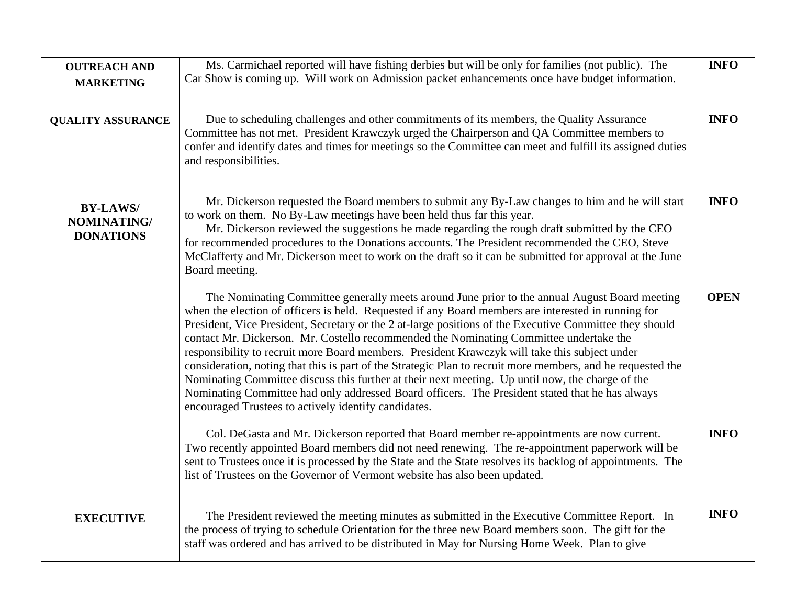| <b>OUTREACH AND</b><br><b>MARKETING</b>            | Ms. Carmichael reported will have fishing derbies but will be only for families (not public). The<br>Car Show is coming up. Will work on Admission packet enhancements once have budget information.                                                                                                                                                                                                                                                                                                                                                                                                                                                                                                                                                                                                                                                                                     | <b>INFO</b> |
|----------------------------------------------------|------------------------------------------------------------------------------------------------------------------------------------------------------------------------------------------------------------------------------------------------------------------------------------------------------------------------------------------------------------------------------------------------------------------------------------------------------------------------------------------------------------------------------------------------------------------------------------------------------------------------------------------------------------------------------------------------------------------------------------------------------------------------------------------------------------------------------------------------------------------------------------------|-------------|
| <b>QUALITY ASSURANCE</b>                           | Due to scheduling challenges and other commitments of its members, the Quality Assurance<br>Committee has not met. President Krawczyk urged the Chairperson and QA Committee members to<br>confer and identify dates and times for meetings so the Committee can meet and fulfill its assigned duties<br>and responsibilities.                                                                                                                                                                                                                                                                                                                                                                                                                                                                                                                                                           | <b>INFO</b> |
| <b>BY-LAWS/</b><br>NOMINATING/<br><b>DONATIONS</b> | Mr. Dickerson requested the Board members to submit any By-Law changes to him and he will start<br>to work on them. No By-Law meetings have been held thus far this year.<br>Mr. Dickerson reviewed the suggestions he made regarding the rough draft submitted by the CEO<br>for recommended procedures to the Donations accounts. The President recommended the CEO, Steve<br>McClafferty and Mr. Dickerson meet to work on the draft so it can be submitted for approval at the June<br>Board meeting.                                                                                                                                                                                                                                                                                                                                                                                | <b>INFO</b> |
|                                                    | The Nominating Committee generally meets around June prior to the annual August Board meeting<br>when the election of officers is held. Requested if any Board members are interested in running for<br>President, Vice President, Secretary or the 2 at-large positions of the Executive Committee they should<br>contact Mr. Dickerson. Mr. Costello recommended the Nominating Committee undertake the<br>responsibility to recruit more Board members. President Krawczyk will take this subject under<br>consideration, noting that this is part of the Strategic Plan to recruit more members, and he requested the<br>Nominating Committee discuss this further at their next meeting. Up until now, the charge of the<br>Nominating Committee had only addressed Board officers. The President stated that he has always<br>encouraged Trustees to actively identify candidates. | <b>OPEN</b> |
|                                                    | Col. DeGasta and Mr. Dickerson reported that Board member re-appointments are now current.<br>Two recently appointed Board members did not need renewing. The re-appointment paperwork will be<br>sent to Trustees once it is processed by the State and the State resolves its backlog of appointments. The<br>list of Trustees on the Governor of Vermont website has also been updated.                                                                                                                                                                                                                                                                                                                                                                                                                                                                                               | <b>INFO</b> |
| <b>EXECUTIVE</b>                                   | The President reviewed the meeting minutes as submitted in the Executive Committee Report. In<br>the process of trying to schedule Orientation for the three new Board members soon. The gift for the<br>staff was ordered and has arrived to be distributed in May for Nursing Home Week. Plan to give                                                                                                                                                                                                                                                                                                                                                                                                                                                                                                                                                                                  | <b>INFO</b> |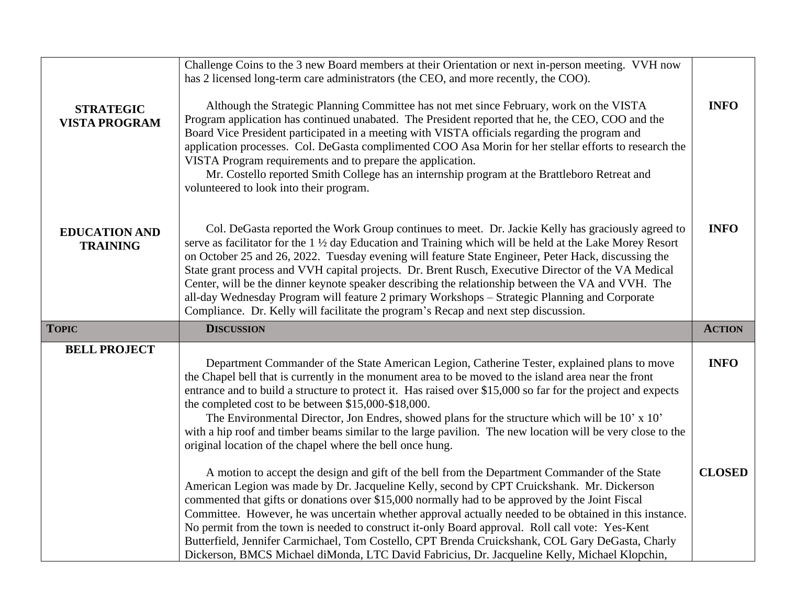|                                          | Challenge Coins to the 3 new Board members at their Orientation or next in-person meeting. VVH now<br>has 2 licensed long-term care administrators (the CEO, and more recently, the COO).                                                                                                                                                                                                                                                                                                                                                                                                                                                                                                                                  |               |
|------------------------------------------|----------------------------------------------------------------------------------------------------------------------------------------------------------------------------------------------------------------------------------------------------------------------------------------------------------------------------------------------------------------------------------------------------------------------------------------------------------------------------------------------------------------------------------------------------------------------------------------------------------------------------------------------------------------------------------------------------------------------------|---------------|
| <b>STRATEGIC</b><br><b>VISTA PROGRAM</b> | Although the Strategic Planning Committee has not met since February, work on the VISTA<br>Program application has continued unabated. The President reported that he, the CEO, COO and the<br>Board Vice President participated in a meeting with VISTA officials regarding the program and<br>application processes. Col. DeGasta complimented COO Asa Morin for her stellar efforts to research the<br>VISTA Program requirements and to prepare the application.<br>Mr. Costello reported Smith College has an internship program at the Brattleboro Retreat and<br>volunteered to look into their program.                                                                                                            | <b>INFO</b>   |
| <b>EDUCATION AND</b><br><b>TRAINING</b>  | Col. DeGasta reported the Work Group continues to meet. Dr. Jackie Kelly has graciously agreed to<br>serve as facilitator for the 1 1/2 day Education and Training which will be held at the Lake Morey Resort<br>on October 25 and 26, 2022. Tuesday evening will feature State Engineer, Peter Hack, discussing the<br>State grant process and VVH capital projects. Dr. Brent Rusch, Executive Director of the VA Medical<br>Center, will be the dinner keynote speaker describing the relationship between the VA and VVH. The<br>all-day Wednesday Program will feature 2 primary Workshops - Strategic Planning and Corporate<br>Compliance. Dr. Kelly will facilitate the program's Recap and next step discussion. | <b>INFO</b>   |
| <b>TOPIC</b>                             | <b>DISCUSSION</b>                                                                                                                                                                                                                                                                                                                                                                                                                                                                                                                                                                                                                                                                                                          | <b>ACTION</b> |
| <b>BELL PROJECT</b>                      | Department Commander of the State American Legion, Catherine Tester, explained plans to move<br>the Chapel bell that is currently in the monument area to be moved to the island area near the front<br>entrance and to build a structure to protect it. Has raised over \$15,000 so far for the project and expects<br>the completed cost to be between \$15,000-\$18,000.<br>The Environmental Director, Jon Endres, showed plans for the structure which will be 10' x 10'<br>with a hip roof and timber beams similar to the large pavilion. The new location will be very close to the<br>original location of the chapel where the bell once hung.                                                                   | <b>INFO</b>   |
|                                          | A motion to accept the design and gift of the bell from the Department Commander of the State<br>American Legion was made by Dr. Jacqueline Kelly, second by CPT Cruickshank. Mr. Dickerson<br>commented that gifts or donations over \$15,000 normally had to be approved by the Joint Fiscal<br>Committee. However, he was uncertain whether approval actually needed to be obtained in this instance.<br>No permit from the town is needed to construct it-only Board approval. Roll call vote: Yes-Kent<br>Butterfield, Jennifer Carmichael, Tom Costello, CPT Brenda Cruickshank, COL Gary DeGasta, Charly<br>Dickerson, BMCS Michael diMonda, LTC David Fabricius, Dr. Jacqueline Kelly, Michael Klopchin,           | <b>CLOSED</b> |